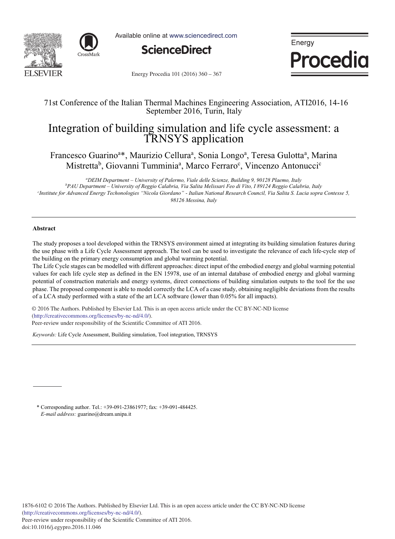



Available online at www.sciencedirect.com



Energy **Procedia** 

Energy Procedia 101 (2016) 360 - 367

# 71st Conference of the Italian Thermal Machines Engineering Association, ATI2016, 14-16 September 2016, Turin, Italy

# Integration of building simulation and life cycle assessment: a TRNSYS application

Francesco Guarino<sup>a\*</sup>, Maurizio Cellura<sup>a</sup>, Sonia Longo<sup>a</sup>, Teresa Gulotta<sup>a</sup>, Marina Mistretta<sup>b</sup>, Giovanni Tumminia<sup>a</sup>, Marco Ferraro<sup>c</sup>, Vincenzo Antonucci<sup>c</sup>

<sup>a</sup>DEIM Department – University of Palermo, Viale delle Scienze, Building 9, 90128 Plaemo, Italy <sup>4</sup>DEIM Department – University of Palermo, Viale delle Scienze, Building 9, 90128 Plaemo, Italy<br><sup>b</sup>PAU Department – University of Reggio Calabria, Via Salita Melissari Feo di Vito, I 89124 Reggio Calabria, Italy *c Institute for Advanced Energy Techonologies "Nicola Giordano" - Italian National Research Council, Via Salita S. Lucia sopra Contesse 5, 98126 Messina, Italy*

## **Abstract**

The study proposes a tool developed within the TRNSYS environment aimed at integrating its building simulation features during the use phase with a Life Cycle Assessment approach. The tool can be used to investigate the relevance of each life-cycle step of the building on the primary energy consumption and global warming potential.

The Life Cycle stages can be modelled with different approaches: direct input of the embodied energy and global warming potential values for each life cycle step as defined in the EN 15978, use of an internal database of embodied energy and global warming potential of construction materials and energy systems, direct connections of building simulation outputs to the tool for the use phase. The proposed component is able to model correctly the LCA of a case study, obtaining negligible deviations from the results of a LCA study performed with a state of the art LCA software (lower than 0.05% for all impacts).

© 2016 The Authors. Published by Elsevier Ltd. (http://creativecommons.org/licenses/by-nc-nd/4.0/). © 2016 The Authors. Published by Elsevier Ltd. This is an open access article under the CC BY-NC-ND license

Peer-review under responsibility of the Scientific Committee of ATI 2016. Peer-review under responsibility of the Scientific Committee of ATI 2016.

*Keywords:* Life Cycle Assessment, Building simulation, Tool integration, TRNSYS

\* Corresponding author. Tel.: +39-091-23861977; fax: +39-091-484425. *E-mail address:* guarino@dream.unipa.it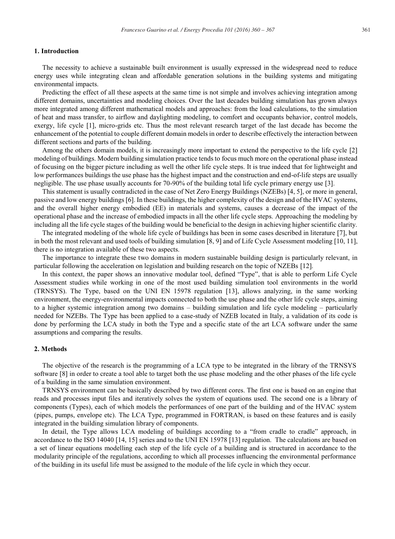### **1. Introduction**

The necessity to achieve a sustainable built environment is usually expressed in the widespread need to reduce energy uses while integrating clean and affordable generation solutions in the building systems and mitigating environmental impacts.

Predicting the effect of all these aspects at the same time is not simple and involves achieving integration among different domains, uncertainties and modeling choices. Over the last decades building simulation has grown always more integrated among different mathematical models and approaches: from the load calculations, to the simulation of heat and mass transfer, to airflow and daylighting modeling, to comfort and occupants behavior, control models, exergy, life cycle [1], micro-grids etc. Thus the most relevant research target of the last decade has become the enhancement of the potential to couple different domain models in order to describe effectively the interaction between different sections and parts of the building.

Among the others domain models, it is increasingly more important to extend the perspective to the life cycle [2] modeling of buildings. Modern building simulation practice tends to focus much more on the operational phase instead of focusing on the bigger picture including as well the other life cycle steps. It is true indeed that for lightweight and low performances buildings the use phase has the highest impact and the construction and end-of-life steps are usually negligible. The use phase usually accounts for 70-90% of the building total life cycle primary energy use [3].

This statement is usually contradicted in the case of Net Zero Energy Buildings (NZEBs) [4, 5], or more in general, passive and low energy buildings [6]. In these buildings, the higher complexity of the design and of the HVAC systems, and the overall higher energy embodied (EE) in materials and systems, causes a decrease of the impact of the operational phase and the increase of embodied impacts in all the other life cycle steps. Approaching the modeling by including all the life cycle stages of the building would be beneficial to the design in achieving higher scientific clarity.

The integrated modeling of the whole life cycle of buildings has been in some cases described in literature [7], but in both the most relevant and used tools of building simulation [8, 9] and of Life Cycle Assessment modeling [10, 11], there is no integration available of these two aspects.

The importance to integrate these two domains in modern sustainable building design is particularly relevant, in particular following the acceleration on legislation and building research on the topic of NZEBs [12].

In this context, the paper shows an innovative modular tool, defined "Type", that is able to perform Life Cycle Assessment studies while working in one of the most used building simulation tool environments in the world (TRNSYS). The Type, based on the UNI EN 15978 regulation [13], allows analyzing, in the same working environment, the energy-environmental impacts connected to both the use phase and the other life cycle steps, aiming to a higher systemic integration among two domains – building simulation and life cycle modeling – particularly needed for NZEBs. The Type has been applied to a case-study of NZEB located in Italy, a validation of its code is done by performing the LCA study in both the Type and a specific state of the art LCA software under the same assumptions and comparing the results.

### **2. Methods**

The objective of the research is the programming of a LCA type to be integrated in the library of the TRNSYS software [8] in order to create a tool able to target both the use phase modeling and the other phases of the life cycle of a building in the same simulation environment.

TRNSYS environment can be basically described by two different cores. The first one is based on an engine that reads and processes input files and iteratively solves the system of equations used. The second one is a library of components (Types), each of which models the performances of one part of the building and of the HVAC system (pipes, pumps, envelope etc). The LCA Type, programmed in FORTRAN, is based on these features and is easily integrated in the building simulation library of components.

In detail, the Type allows LCA modeling of buildings according to a "from cradle to cradle" approach, in accordance to the ISO 14040 [14, 15] series and to the UNI EN 15978 [13] regulation. The calculations are based on a set of linear equations modelling each step of the life cycle of a building and is structured in accordance to the modularity principle of the regulations, according to which all processes influencing the environmental performance of the building in its useful life must be assigned to the module of the life cycle in which they occur.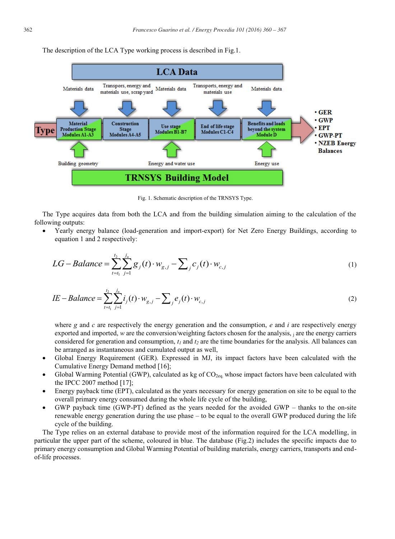The description of the LCA Type working process is described in Fig.1.



Fig. 1. Schematic description of the TRNSYS Type.

The Type acquires data from both the LCA and from the building simulation aiming to the calculation of the following outputs:

x Yearly energy balance (load-generation and import-export) for Net Zero Energy Buildings, according to equation 1 and 2 respectively:

$$
LG - Balance = \sum_{t=t_1}^{t_2} \sum_{j=1}^{j_n} g_j(t) \cdot w_{g,j} - \sum_{j} c_j(t) \cdot w_{c,j}
$$
 (1)

$$
IE - Balance = \sum_{t=t_1}^{t_2} \sum_{j=1}^{j_n} i_j(t) \cdot w_{g,j} - \sum_{j} e_j(t) \cdot w_{c,j}
$$
 (2)

where *g* and *c* are respectively the energy generation and the consumption, *e* and *i* are respectively energy exported and imported, *w* are the conversion/weighting factors chosen for the analysis, *i* are the energy carriers considered for generation and consumption,  $t_1$  and  $t_2$  are the time boundaries for the analysis. All balances can be arranged as instantaneous and cumulated output as well,

- Global Energy Requirement (GER). Expressed in MJ, its impact factors have been calculated with the Cumulative Energy Demand method [16];
- Global Warming Potential (GWP), calculated as kg of  $CO<sub>2eq</sub>$  whose impact factors have been calculated with the IPCC 2007 method [17];
- x Energy payback time (EPT), calculated as the years necessary for energy generation on site to be equal to the overall primary energy consumed during the whole life cycle of the building,
- GWP payback time (GWP-PT) defined as the years needed for the avoided GWP thanks to the on-site renewable energy generation during the use phase – to be equal to the overall GWP produced during the life cycle of the building.

The Type relies on an external database to provide most of the information required for the LCA modelling, in particular the upper part of the scheme, coloured in blue. The database (Fig.2) includes the specific impacts due to primary energy consumption and Global Warming Potential of building materials, energy carriers, transports and endof-life processes.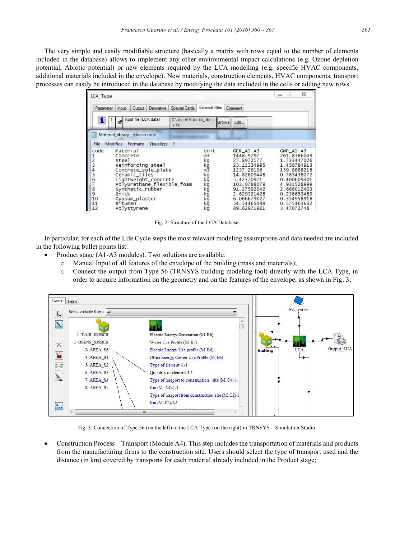The very simple and easily modifiable structure (basically a matrix with rows equal to the number of elements included in the database) allows to implement any other environmental impact calculations (e.g. Ozone depletion potential, Abiotic potential) or new elements required by the LCA modelling (e.g. specific HVAC components, additional materials included in the envelope). New materials, construction elements, HVAC components, transport processes can easily be introduced in the database by modifying the data included in the cells or adding new rows.

| LCA_Type                                                                                                  |                                                          |                                                                    |                                                                  |                                   |                                                                                                       |            |                                                                                                                                                                                          | $\Box$<br>$\equiv$                                                                                                                                                                                 | 23 |
|-----------------------------------------------------------------------------------------------------------|----------------------------------------------------------|--------------------------------------------------------------------|------------------------------------------------------------------|-----------------------------------|-------------------------------------------------------------------------------------------------------|------------|------------------------------------------------------------------------------------------------------------------------------------------------------------------------------------------|----------------------------------------------------------------------------------------------------------------------------------------------------------------------------------------------------|----|
| Parameter                                                                                                 | Input                                                    | Output                                                             | Derivative                                                       | Special Cards                     | <b>External Files</b>                                                                                 |            | Comment                                                                                                                                                                                  |                                                                                                                                                                                                    |    |
| i.                                                                                                        | சி                                                       | Input file (LCA data)                                              |                                                                  | C:\Users\Material librar<br>y.txt |                                                                                                       | Brows Edit |                                                                                                                                                                                          |                                                                                                                                                                                                    |    |
|                                                                                                           |                                                          | Material_library - Blocco note                                     |                                                                  |                                   |                                                                                                       |            |                                                                                                                                                                                          |                                                                                                                                                                                                    |    |
| File                                                                                                      |                                                          | Modifica Formato                                                   | Visualizza                                                       | - ?                               |                                                                                                       |            |                                                                                                                                                                                          |                                                                                                                                                                                                    |    |
| code<br>$\begin{array}{c} 1 \\ 2 \\ 3 \end{array}$<br>4<br>5<br>$\frac{6}{7}$<br>8<br>9<br>10<br>11<br>12 | Material<br>Concrete<br>Steel<br><b>Brick</b><br>Bitumen | Ceramic_tiles<br>Synthetic_rubber<br>Gypsum_plaster<br>Polystyrene | Reinforcing_steel<br>Concrete_sole_plate<br>Lightweight_concrete | Polyurethane_flexible_foam        | Unit<br>m <sub>3</sub><br>kg<br>kg<br>$m\overline{3}$<br>kg<br>kğ<br>kg<br>kg<br>kğ<br>kg<br>kg<br>kg |            | GER A1-A3<br>1448.9797<br>27.8972177<br>23.11334995<br>1237.26106<br>14.82609448<br>5.42370971<br>103.0788079<br>91.27592042<br>2.829321428<br>6.066679027<br>54.54465499<br>89.62971961 | $GWP$ $A1 - A3$<br>261.8386049<br>1.733447026<br>1.458784913<br>159.8868218<br>0.785438072<br>0.400609301<br>4.931528999<br>2.666012403<br>0.238653489<br>0.354958918<br>0.575464632<br>3.47072748 |    |

Fig. 2. Structure of the LCA Database.

In particular, for each of the Life Cycle steps the most relevant modeling assumptions and data needed are included in the following bullet points list:

- Product stage (A1-A3 modules). Two solutions are available:
	- o Manual Input of all features of the envelope of the building (mass and materials);
	- o Connect the output from Type 56 (TRNSYS building modeling tool) directly with the LCA Type, in order to acquire information on the geometry and on the features of the envelope, as shown in Fig. 3;



Fig. 3. Connection of Type 56 (on the left) to the LCA Type (on the right) in TRNSYS – Simulation Studio.

Construction Process – Transport (Module A4). This step includes the transportation of materials and products from the manufacturing firms to the construction site. Users should select the type of transport used and the distance (in km) covered by transports for each material already included in the Product stage;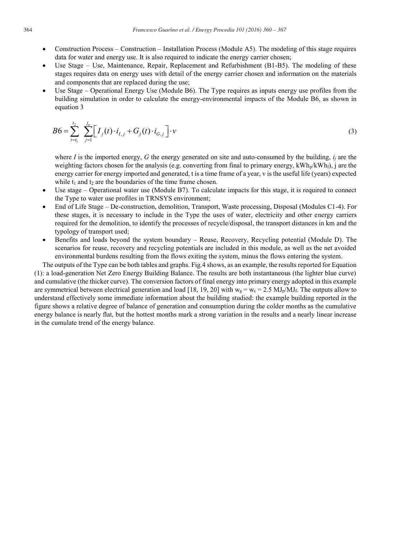- Construction Process Construction Installation Process (Module A5). The modeling of this stage requires data for water and energy use. It is also required to indicate the energy carrier chosen;
- Use Stage Use, Maintenance, Repair, Replacement and Refurbishment (B1-B5). The modeling of these stages requires data on energy uses with detail of the energy carrier chosen and information on the materials and components that are replaced during the use;
- Use Stage Operational Energy Use (Module B6). The Type requires as inputs energy use profiles from the building simulation in order to calculate the energy-environmental impacts of the Module B6, as shown in equation 3

$$
B6 = \sum_{t=t_1}^{t_2} \sum_{j=1}^{j_n} \Big[ I_j(t) \cdot i_{I,j} + G_j(t) \cdot i_{G,j} \Big] \cdot v \tag{3}
$$

where *I* is the imported energy, *G* the energy generated on site and auto-consumed by the building,  $i_j$  are the weighting factors chosen for the analysis (e.g. converting from final to primary energy,  $kWh_p/kWh_f$ ), j are the energy carrier for energy imported and generated, t is a time frame of a year, v is the useful life (years) expected while  $t_1$  and  $t_2$  are the boundaries of the time frame chosen.

- Use stage Operational water use (Module B7). To calculate impacts for this stage, it is required to connect the Type to water use profiles in TRNSYS environment;
- x End of Life Stage De-construction, demolition, Transport, Waste processing, Disposal (Modules C1-4). For these stages, it is necessary to include in the Type the uses of water, electricity and other energy carriers required for the demolition, to identify the processes of recycle/disposal, the transport distances in km and the typology of transport used;
- Benefits and loads beyond the system boundary Reuse, Recovery, Recycling potential (Module D). The scenarios for reuse, recovery and recycling potentials are included in this module, as well as the net avoided environmental burdens resulting from the flows exiting the system, minus the flows entering the system.

The outputs of the Type can be both tables and graphs. Fig.4 shows, as an example, the results reported for Equation (1): a load-generation Net Zero Energy Building Balance. The results are both instantaneous (the lighter blue curve) and cumulative (the thicker curve). The conversion factors of final energy into primary energy adopted in this example are symmetrical between electrical generation and load [18, 19, 20] with  $w_g = w_c = 2.5$  MJ<sub>p</sub>/MJ<sub>f</sub>. The outputs allow to understand effectively some immediate information about the building studied: the example building reported in the figure shows a relative degree of balance of generation and consumption during the colder months as the cumulative energy balance is nearly flat, but the hottest months mark a strong variation in the results and a nearly linear increase in the cumulate trend of the energy balance.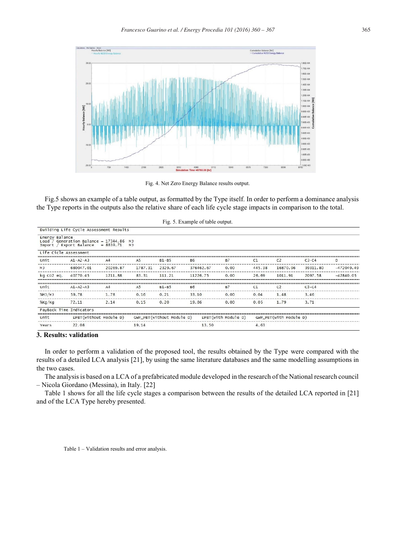

Fig. 4. Net Zero Energy Balance results output.

Fig.5 shows an example of a table output, as formatted by the Type itself. In order to perform a dominance analysis the Type reports in the outputs also the relative share of each life cycle stage impacts in comparison to the total.

|                                      |                                                               |                        |                      |                           | Fig. 5. Example of table output. |                     |        |                        |          |              |
|--------------------------------------|---------------------------------------------------------------|------------------------|----------------------|---------------------------|----------------------------------|---------------------|--------|------------------------|----------|--------------|
|                                      | Building Life Cycle Assessment Results                        |                        |                      |                           |                                  |                     |        |                        |          |              |
| Energy Balance<br>Load /<br>Import / | Generation Balance = $17344.86$<br>Export Balance = $8839.71$ |                        | M <sub>1</sub><br>MJ |                           |                                  |                     |        |                        |          |              |
| Life Cicle Assessment                |                                                               |                        |                      |                           |                                  |                     |        |                        |          |              |
| Unit                                 | $A1 - A2 - A3$                                                | A4                     | A <sub>5</sub>       | $B1 - B5$                 | <b>B6</b>                        | <b>B7</b>           | C1     | C <sub>2</sub>         | $C3-C4$  | D            |
| MJ                                   | 680047.01                                                     | 20269.87               | 1787.31              | 2329.67                   | 376462.67                        | 0.00                | 445.38 | 16870.96               | 39311.80 | $-472049.49$ |
| kg CO2 eg.                           | 40770.45                                                      | 1211.88                | 83.31                | 111.21                    | 11226.75                         | 0.00                | 26.69  | 1011.91                | 2097.58  | $-42840.05$  |
| Unit                                 | $A1 - A2 - A3$                                                | AA                     | A <sub>5</sub>       | $B1 - B5$                 | <b>B6</b>                        | <b>B7</b>           | C1     | C <sub>2</sub>         | $C3-C4$  |              |
| 30MJ/MJ                              | 59.78                                                         | 1.78                   | 0.16                 | 0.21                      | 33.10                            | 0.00                | 0.04   | 1.48                   | 3.46     |              |
| %Kq/Kq                               | 72.11                                                         | 2.14                   | 0.15                 | 0.20                      | 19.86                            | 0.00                | 0.05   | 1.79                   | 3.71     |              |
|                                      | PayBack Time Indicators                                       |                        |                      |                           |                                  |                     |        |                        |          |              |
| Unit                                 |                                                               | EPBT(without Module D) |                      | GWP_PBT(without Module D) |                                  | EPBT(with Module D) |        | GWP_PBT(with Module D) |          |              |
| Years                                | 22.08                                                         |                        | 19.14                |                           | 13.50                            |                     | 4.63   |                        |          |              |

### **3. Results: validation**

In order to perform a validation of the proposed tool, the results obtained by the Type were compared with the results of a detailed LCA analysis [21], by using the same literature databases and the same modelling assumptions in the two cases.

The analysisis based on a LCA of a prefabricated module developed in the research of the National research council – Nicola Giordano (Messina), in Italy. [22]

Table 1 shows for all the life cycle stages a comparison between the results of the detailed LCA reported in [21] and of the LCA Type hereby presented.

Table 1 – Validation results and error analysis.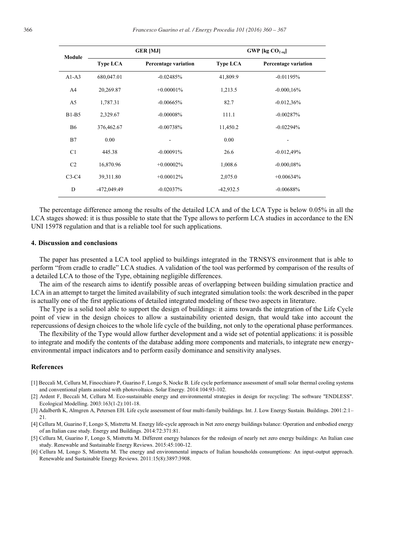| Module         |                 | <b>GER [MJ]</b>             | GWP [kg $CO2.01$ ] |                             |  |  |  |
|----------------|-----------------|-----------------------------|--------------------|-----------------------------|--|--|--|
|                | <b>Type LCA</b> | <b>Percentage variation</b> | <b>Type LCA</b>    | <b>Percentage variation</b> |  |  |  |
| $A1-A3$        | 680,047.01      | $-0.02485%$                 | 41,809.9           | $-0.01195%$                 |  |  |  |
| A <sub>4</sub> | 20,269.87       | $+0.00001\%$                | 1,213.5            | $-0.000, 16%$               |  |  |  |
| A <sub>5</sub> | 1,787.31        | $-0.00665%$                 | 82.7               | $-0.012,36%$                |  |  |  |
| $B1-B5$        | 2,329.67        | $-0.00008%$                 | 111.1              | $-0.00287%$                 |  |  |  |
| <b>B6</b>      | 376,462.67      | $-0.00738%$                 | 11,450.2           | $-0.02294%$                 |  |  |  |
| B7             | 0.00            |                             | 0.00               |                             |  |  |  |
| C1             | 445.38          | $-0.00091%$                 | 26.6               | $-0.012,49%$                |  |  |  |
| C <sub>2</sub> | 16,870.96       | $+0.00002\%$                | 1,008.6            | $-0.000,08\%$               |  |  |  |
| $C3-C4$        | 39,311.80       | $+0.00012%$                 | 2,075.0            | $+0.00634%$                 |  |  |  |
| D              | -472,049.49     | $-0.02037%$                 | $-42,932.5$        | $-0.00688%$                 |  |  |  |

The percentage difference among the results of the detailed LCA and of the LCA Type is below 0.05% in all the LCA stages showed: it is thus possible to state that the Type allows to perform LCA studies in accordance to the EN UNI 15978 regulation and that is a reliable tool for such applications.

#### **4. Discussion and conclusions**

The paper has presented a LCA tool applied to buildings integrated in the TRNSYS environment that is able to perform "from cradle to cradle" LCA studies. A validation of the tool was performed by comparison of the results of a detailed LCA to those of the Type, obtaining negligible differences.

The aim of the research aims to identify possible areas of overlapping between building simulation practice and LCA in an attempt to target the limited availability of such integrated simulation tools: the work described in the paper is actually one of the first applications of detailed integrated modeling of these two aspects in literature.

The Type is a solid tool able to support the design of buildings: it aims towards the integration of the Life Cycle point of view in the design choices to allow a sustainability oriented design, that would take into account the repercussions of design choices to the whole life cycle of the building, not only to the operational phase performances.

The flexibility of the Type would allow further development and a wide set of potential applications: it is possible to integrate and modify the contents of the database adding more components and materials, to integrate new energyenvironmental impact indicators and to perform easily dominance and sensitivity analyses.

#### **References**

- [1] Beccali M, Cellura M, Finocchiaro P, Guarino F, Longo S, Nocke B. Life cycle performance assessment of small solar thermal cooling systems and conventional plants assisted with photovoltaics. Solar Energy. 2014:104:93-102.
- [2] Ardent F, Beccali M, Cellura M. Eco-sustainable energy and environmental strategies in design for recycling: The software "ENDLESS". Ecological Modelling. 2003:163(1-2):101-18.
- [3] Adalberth K, Almgren A, Petersen EH. Life cycle assessment of four multi-family buildings. Int. J. Low Energy Sustain. Buildings. 2001:2:1– 21.
- [4] Cellura M, Guarino F, Longo S, Mistretta M. Energy life-cycle approach in Net zero energy buildings balance: Operation and embodied energy of an Italian case study. Energy and Buildings. 2014:72:371:81.
- [5] Cellura M, Guarino F, Longo S, Mistretta M. Different energy balances for the redesign of nearly net zero energy buildings: An Italian case study. Renewable and Sustainable Energy Reviews. 2015:45:100-12.
- [6] Cellura M, Longo S, Mistretta M. The energy and environmental impacts of Italian households consumptions: An input-output approach. Renewable and Sustainable Energy Reviews. 2011:15(8):3897:3908.